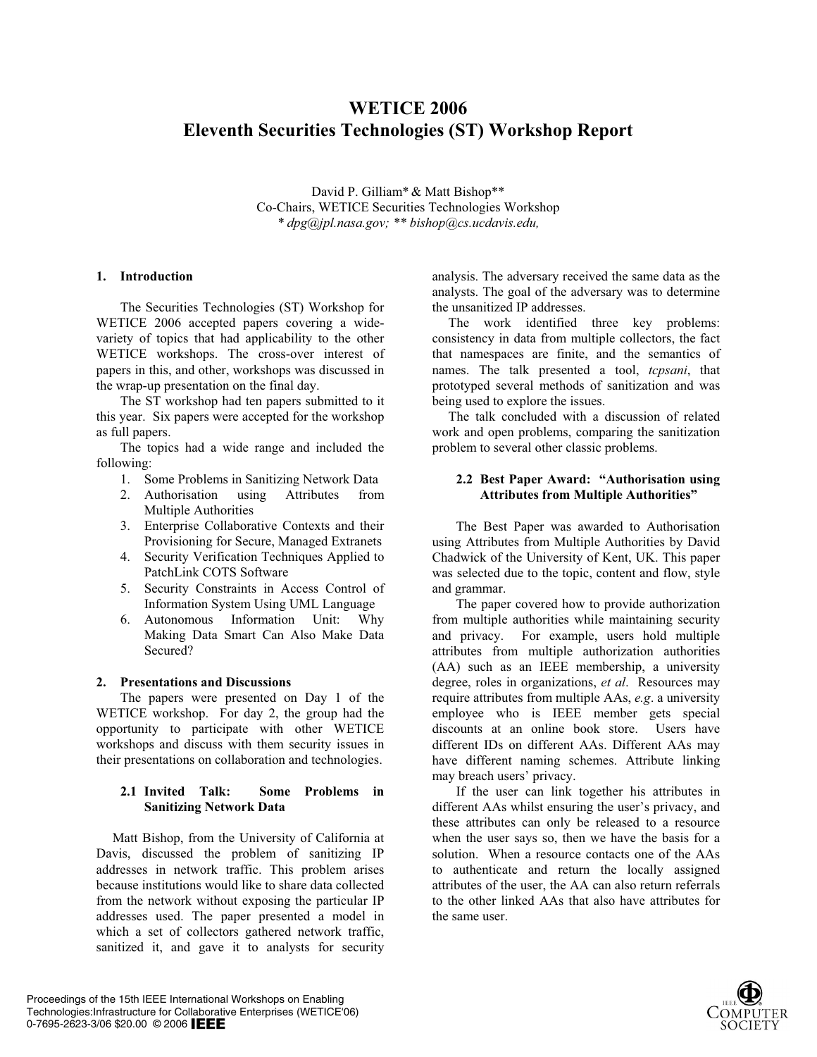# **WETICE 2006 Eleventh Securities Technologies (ST) Workshop Report**

David P. Gilliam\* & Matt Bishop\*\* Co-Chairs, WETICE Securities Technologies Workshop *\* dpg@jpl.nasa.gov; \*\* bishop@cs.ucdavis.edu,*

#### **1. Introduction**

The Securities Technologies (ST) Workshop for WETICE 2006 accepted papers covering a widevariety of topics that had applicability to the other WETICE workshops. The cross-over interest of papers in this, and other, workshops was discussed in the wrap-up presentation on the final day.

The ST workshop had ten papers submitted to it this year. Six papers were accepted for the workshop as full papers.

The topics had a wide range and included the following:

- 1. Some Problems in Sanitizing Network Data
- 2. Authorisation using Attributes from Multiple Authorities
- 3. Enterprise Collaborative Contexts and their Provisioning for Secure, Managed Extranets
- 4. Security Verification Techniques Applied to PatchLink COTS Software
- 5. Security Constraints in Access Control of Information System Using UML Language
- 6. Autonomous Information Unit: Why Making Data Smart Can Also Make Data Secured?

### **2. Presentations and Discussions**

The papers were presented on Day 1 of the WETICE workshop. For day 2, the group had the opportunity to participate with other WETICE workshops and discuss with them security issues in their presentations on collaboration and technologies.

## **2.1 Invited Talk: Some Problems in Sanitizing Network Data**

Matt Bishop, from the University of California at Davis, discussed the problem of sanitizing IP addresses in network traffic. This problem arises because institutions would like to share data collected from the network without exposing the particular IP addresses used. The paper presented a model in which a set of collectors gathered network traffic, sanitized it, and gave it to analysts for security analysis. The adversary received the same data as the analysts. The goal of the adversary was to determine the unsanitized IP addresses.

The work identified three key problems: consistency in data from multiple collectors, the fact that namespaces are finite, and the semantics of names. The talk presented a tool, *tcpsani*, that prototyped several methods of sanitization and was being used to explore the issues.

The talk concluded with a discussion of related work and open problems, comparing the sanitization problem to several other classic problems.

#### **2.2 Best Paper Award: "Authorisation using Attributes from Multiple Authorities"**

The Best Paper was awarded to Authorisation using Attributes from Multiple Authorities by David Chadwick of the University of Kent, UK. This paper was selected due to the topic, content and flow, style and grammar.

The paper covered how to provide authorization from multiple authorities while maintaining security and privacy. For example, users hold multiple attributes from multiple authorization authorities (AA) such as an IEEE membership, a university degree, roles in organizations, *et al*. Resources may require attributes from multiple AAs, *e.g*. a university employee who is IEEE member gets special discounts at an online book store. Users have different IDs on different AAs. Different AAs may have different naming schemes. Attribute linking may breach users' privacy.

If the user can link together his attributes in different AAs whilst ensuring the user's privacy, and these attributes can only be released to a resource when the user says so, then we have the basis for a solution. When a resource contacts one of the AAs to authenticate and return the locally assigned attributes of the user, the AA can also return referrals to the other linked AAs that also have attributes for the same user.

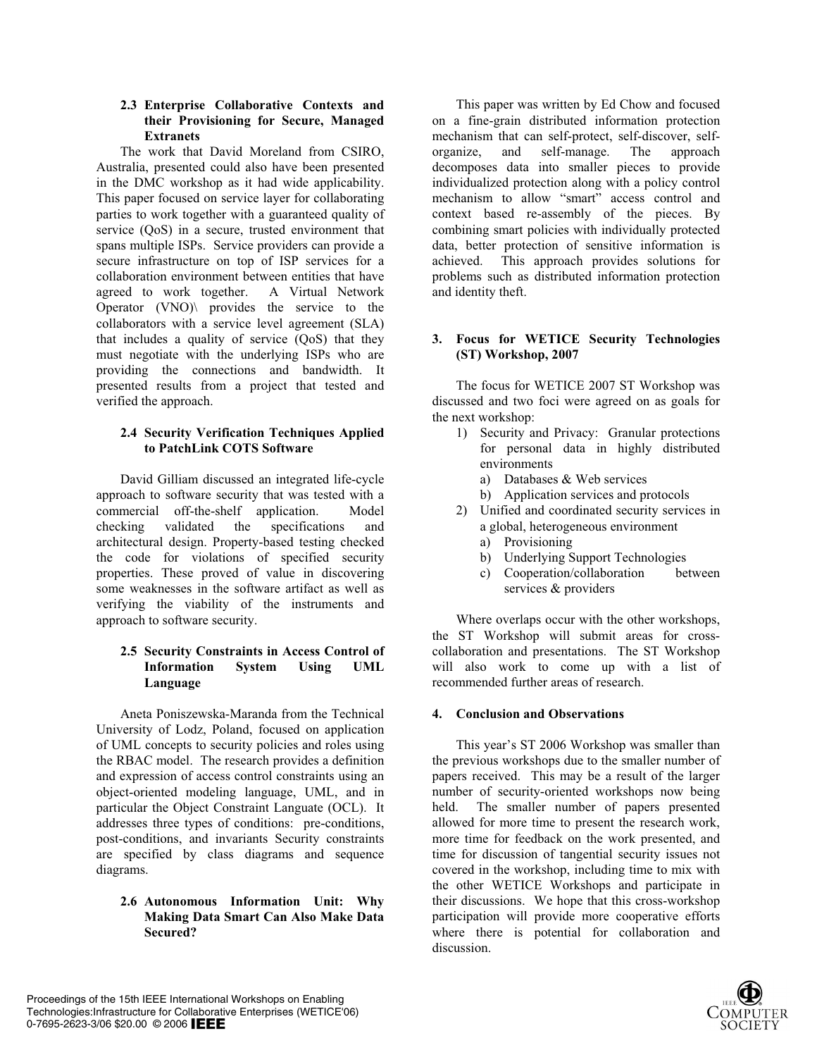# **2.3 Enterprise Collaborative Contexts and their Provisioning for Secure, Managed Extranets**

The work that David Moreland from CSIRO, Australia, presented could also have been presented in the DMC workshop as it had wide applicability. This paper focused on service layer for collaborating parties to work together with a guaranteed quality of service (QoS) in a secure, trusted environment that spans multiple ISPs. Service providers can provide a secure infrastructure on top of ISP services for a collaboration environment between entities that have agreed to work together. A Virtual Network Operator (VNO)\ provides the service to the collaborators with a service level agreement (SLA) that includes a quality of service (QoS) that they must negotiate with the underlying ISPs who are providing the connections and bandwidth. It presented results from a project that tested and verified the approach.

# **2.4 Security Verification Techniques Applied to PatchLink COTS Software**

David Gilliam discussed an integrated life-cycle approach to software security that was tested with a commercial off-the-shelf application. Model checking validated the specifications and architectural design. Property-based testing checked the code for violations of specified security properties. These proved of value in discovering some weaknesses in the software artifact as well as verifying the viability of the instruments and approach to software security.

# **2.5 Security Constraints in Access Control of Information System Using UML Language**

Aneta Poniszewska-Maranda from the Technical University of Lodz, Poland, focused on application of UML concepts to security policies and roles using the RBAC model. The research provides a definition and expression of access control constraints using an object-oriented modeling language, UML, and in particular the Object Constraint Languate (OCL). It addresses three types of conditions: pre-conditions, post-conditions, and invariants Security constraints are specified by class diagrams and sequence diagrams.

# **2.6 Autonomous Information Unit: Why Making Data Smart Can Also Make Data Secured?**

This paper was written by Ed Chow and focused on a fine-grain distributed information protection mechanism that can self-protect, self-discover, selforganize, and self-manage. The approach decomposes data into smaller pieces to provide individualized protection along with a policy control mechanism to allow "smart" access control and context based re-assembly of the pieces. By combining smart policies with individually protected data, better protection of sensitive information is achieved. This approach provides solutions for problems such as distributed information protection and identity theft.

# **3. Focus for WETICE Security Technologies (ST) Workshop, 2007**

The focus for WETICE 2007 ST Workshop was discussed and two foci were agreed on as goals for the next workshop:

- 1) Security and Privacy: Granular protections for personal data in highly distributed environments
	- a) Databases & Web services
	- b) Application services and protocols
- 2) Unified and coordinated security services in a global, heterogeneous environment
	- a) Provisioning
	- b) Underlying Support Technologies
	- c) Cooperation/collaboration between services & providers

Where overlaps occur with the other workshops, the ST Workshop will submit areas for crosscollaboration and presentations. The ST Workshop will also work to come up with a list of recommended further areas of research.

# **4. Conclusion and Observations**

This year's ST 2006 Workshop was smaller than the previous workshops due to the smaller number of papers received. This may be a result of the larger number of security-oriented workshops now being held. The smaller number of papers presented allowed for more time to present the research work, more time for feedback on the work presented, and time for discussion of tangential security issues not covered in the workshop, including time to mix with the other WETICE Workshops and participate in their discussions. We hope that this cross-workshop participation will provide more cooperative efforts where there is potential for collaboration and discussion.